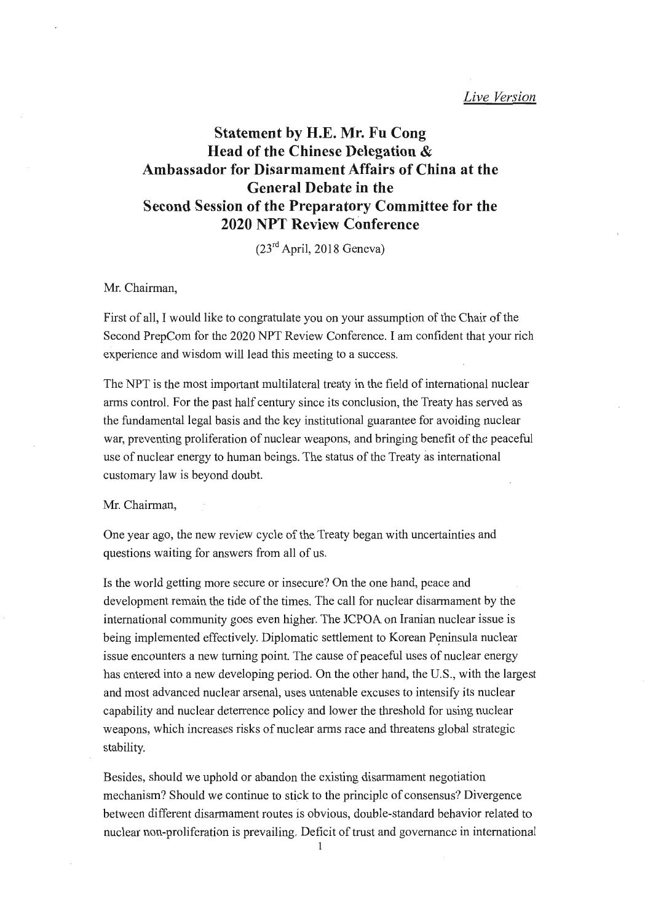# **Statement by H.E. Mr. Fu Cong Head of the Chinese Delegation** & **Ambassador for Disarmament Affairs of China at the General Debate in the Second Session of the Preparatory Committee for the 2020 NPT Review Conference**

(23rd April, 2018 Geneva)

## Mr. Chairman,

First of all, I would like to congratulate you on your assumption of the Chair of the Second PrepCom for the 2020 NPT Review Conference. I am confident that your rich experience and wisdom will lead this meeting to a success.

The NPT is the most important multilateral treaty in the field of international nuclear arms control. For the past half century since its conclusion, the Treaty has served as the fundamental legal basis and the key institutional guarantee for avoiding nuclear war, preventing proliferation of nuclear weapons, and bringing benefit of the peaceful use of nuclear energy to human beings. The status of the Treaty as international customary law is beyond doubt.

Mr. Chairman,

One year ago, the new review cycle of the Treaty began with uncertainties and questions waiting for answers from all of us.

Is the world getting more secure or insecure? On the one hand, peace and development remain the tide of the times. The call for nuclear disarmament by the international community goes even higher. The JCPOA on Iranian nuclear issue is being implemented effectively. Diplomatic settlement to Korean Peninsula nuclear issue encounters a new turning point. The cause of peaceful uses of nuclear energy has entered into a new developing period. On the other hand, the U.S., with the largest and most advanced nuclear arsenal, uses untenable excuses to intensify its nuclear capability and nuclear detenence policy and lower the threshold for using nuclear weapons, which increases risks of nuclear arms race and threatens global strategic stability.

Besides, should we uphold or abandon the existing disarmament negotiation mechanism? Should we continue to stick to the principle of consensus? Divergence between different disarmament routes is obvious, double-standard behavior related to nuclear non-proliferation is prevailing. Deficit of trust and governance in international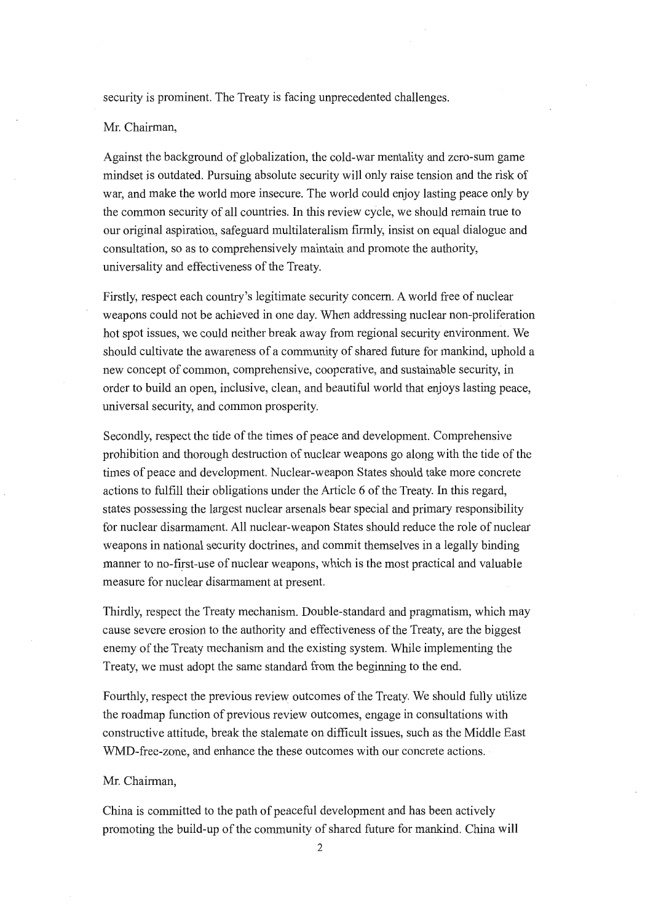security is prominent. The Treaty is facing unprecedented challenges.

## Mr. Chairman,

Against the background of globalization, the cold-war mentality and zero-sum game mindset is outdated. Pursuing absolute security will only raise tension and the risk of war, and make the world more insecure. The world could enjoy lasting peace only by the common security of all countries. In this review cycle, we should remain true to our original aspiration, safeguard multilateralism firmly, insist on equal dialogue and consultation, so as to comprehensively maintain and promote the authority, universality and effectiveness of the Treaty.

Firstly, respect each country's legitimate security concern. A world free of nuclear weapons could not be achieved in one day. When addressing nuclear non-proliferation hot spot issues, we could neither break away from regional security environment. We should cultivate the awareness of a community of shared future for mankind, uphold a new concept of common, comprehensive, cooperative, and sustainable security, in order to build an open, inclusive, clean, and beautiful world that enjoys lasting peace, universal security, and common prosperity.

Secondly, respect the tide of the times of peace and development. Comprehensive prohibition and thorough destruction of nuclear weapons go along with the tide of the times of peace and development. Nuclear-weapon States should take more concrete actions to fulfill their obligations under the Article 6 of the Treaty. In this regard, states possessing the largest nuclear arsenals bear special and primary responsibility for nuclear disarmament. All nuclear-weapon States should reduce the role of nuclear weapons in national security doctrines, and commit themselves in a legally binding manner to no-first-use of nuclear weapons, which is the most practical and valuable measure for nuclear disarmament at present.

Thirdly, respect the Treaty mechanism. Double-standard and pragmatism, which may cause severe erosion to the authority and effectiveness of the Treaty, are the biggest enemy of the Treaty mechanism and the existing system. While implementing the Treaty, we must adopt the same standard from the beginning to the end.

Fourthly, respect the previous review outcomes of the Treaty. We should fully utilize the roadmap function of previous review outcomes, engage in consultations with constructive attitude, break the stalemate on difficult issues, such as the Middle East WMD-free-zone, and enhance the these outcomes with our concrete actions.

#### Mr. Chairman,

China is committed to the path of peaceful development and has been actively promoting the build-up of the community of shared future for mankind. China will